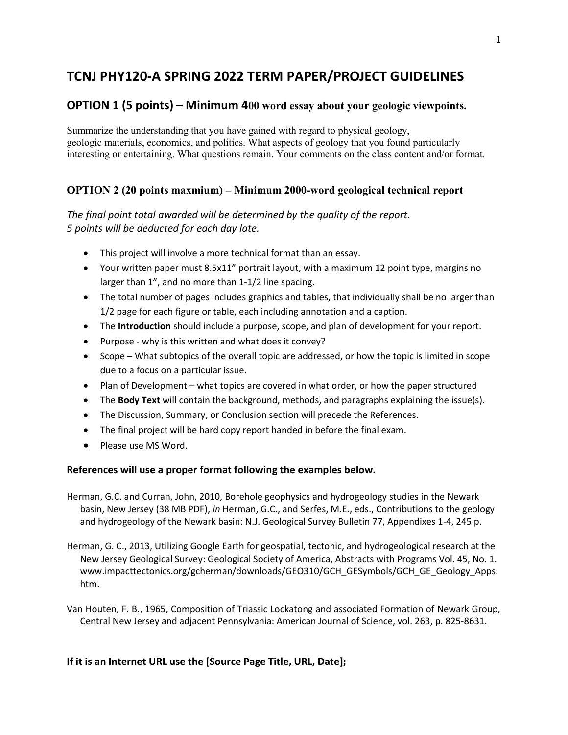# TCNJ PHY120-A SPRING 2022 TERM PAPER/PROJECT GUIDELINES

# OPTION 1 (5 points) – Minimum 400 word essay about your geologic viewpoints.

Summarize the understanding that you have gained with regard to physical geology, geologic materials, economics, and politics. What aspects of geology that you found particularly interesting or entertaining. What questions remain. Your comments on the class content and/or format.

## OPTION 2 (20 points maxmium) – Minimum 2000-word geological technical report

## The final point total awarded will be determined by the quality of the report. 5 points will be deducted for each day late.

- This project will involve a more technical format than an essay.
- Your written paper must 8.5x11" portrait layout, with a maximum 12 point type, margins no larger than 1", and no more than 1-1/2 line spacing.
- The total number of pages includes graphics and tables, that individually shall be no larger than 1/2 page for each figure or table, each including annotation and a caption.
- The Introduction should include a purpose, scope, and plan of development for your report.
- Purpose why is this written and what does it convey?
- Scope What subtopics of the overall topic are addressed, or how the topic is limited in scope due to a focus on a particular issue.
- Plan of Development what topics are covered in what order, or how the paper structured
- $\bullet$  The Body Text will contain the background, methods, and paragraphs explaining the issue(s).
- The Discussion, Summary, or Conclusion section will precede the References.
- The final project will be hard copy report handed in before the final exam.
- Please use MS Word.

#### References will use a proper format following the examples below.

- Herman, G.C. and Curran, John, 2010, Borehole geophysics and hydrogeology studies in the Newark basin, New Jersey (38 MB PDF), in Herman, G.C., and Serfes, M.E., eds., Contributions to the geology and hydrogeology of the Newark basin: N.J. Geological Survey Bulletin 77, Appendixes 1-4, 245 p.
- Herman, G. C., 2013, Utilizing Google Earth for geospatial, tectonic, and hydrogeological research at the New Jersey Geological Survey: Geological Society of America, Abstracts with Programs Vol. 45, No. 1. www.impacttectonics.org/gcherman/downloads/GEO310/GCH\_GESymbols/GCH\_GE\_Geology\_Apps. htm.

Van Houten, F. B., 1965, Composition of Triassic Lockatong and associated Formation of Newark Group, Central New Jersey and adjacent Pennsylvania: American Journal of Science, vol. 263, p. 825-8631.

#### If it is an Internet URL use the [Source Page Title, URL, Date];